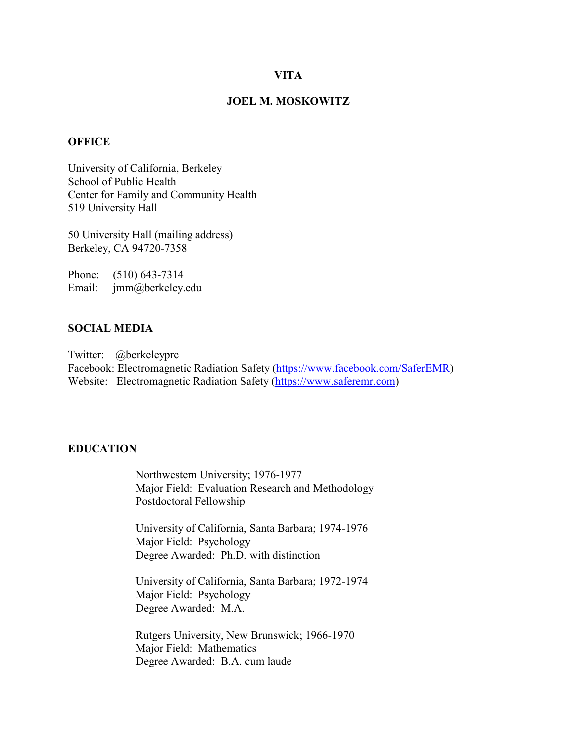#### **VITA**

### **JOEL M. MOSKOWITZ**

### **OFFICE**

University of California, Berkeley School of Public Health Center for Family and Community Health 519 University Hall

50 University Hall (mailing address) Berkeley, CA 94720-7358

Phone: (510) 643-7314 Email: jmm@berkeley.edu

### **SOCIAL MEDIA**

Twitter: @berkeleyprc Facebook: Electromagnetic Radiation Safety [\(https://www.facebook.com/SaferEMR\)](https://www.facebook.com/SaferEMR) Website: Electromagnetic Radiation Safety [\(https://www.saferemr.com\)](https://www.saferemr.com/)

### **EDUCATION**

Northwestern University; 1976-1977 Major Field: Evaluation Research and Methodology Postdoctoral Fellowship

University of California, Santa Barbara; 1974-1976 Major Field: Psychology Degree Awarded: Ph.D. with distinction

University of California, Santa Barbara; 1972-1974 Major Field: Psychology Degree Awarded: M.A.

Rutgers University, New Brunswick; 1966-1970 Major Field: Mathematics Degree Awarded: B.A. cum laude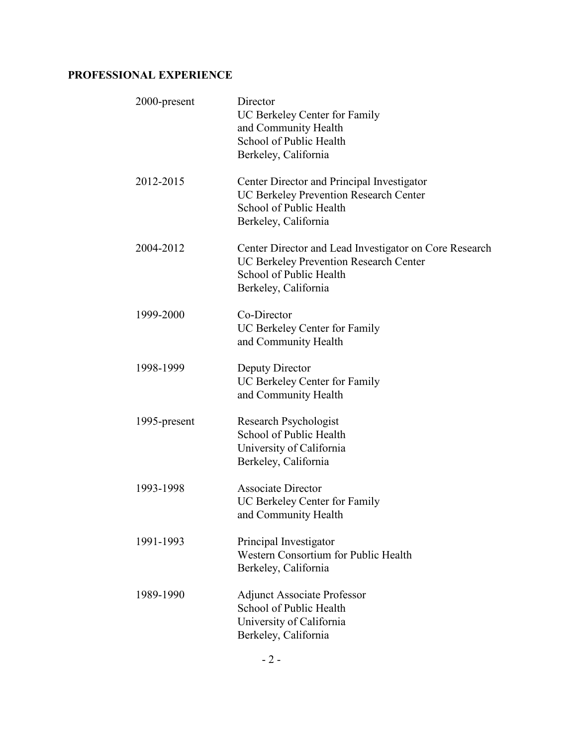# **PROFESSIONAL EXPERIENCE**

| 2000-present | Director<br>UC Berkeley Center for Family<br>and Community Health<br>School of Public Health<br>Berkeley, California                                |
|--------------|-----------------------------------------------------------------------------------------------------------------------------------------------------|
| 2012-2015    | Center Director and Principal Investigator<br><b>UC Berkeley Prevention Research Center</b><br>School of Public Health<br>Berkeley, California      |
| 2004-2012    | Center Director and Lead Investigator on Core Research<br>UC Berkeley Prevention Research Center<br>School of Public Health<br>Berkeley, California |
| 1999-2000    | Co-Director<br>UC Berkeley Center for Family<br>and Community Health                                                                                |
| 1998-1999    | Deputy Director<br>UC Berkeley Center for Family<br>and Community Health                                                                            |
| 1995-present | <b>Research Psychologist</b><br>School of Public Health<br>University of California<br>Berkeley, California                                         |
| 1993-1998    | <b>Associate Director</b><br>UC Berkeley Center for Family<br>and Community Health                                                                  |
| 1991-1993    | Principal Investigator<br>Western Consortium for Public Health<br>Berkeley, California                                                              |
| 1989-1990    | <b>Adjunct Associate Professor</b><br>School of Public Health<br>University of California<br>Berkeley, California                                   |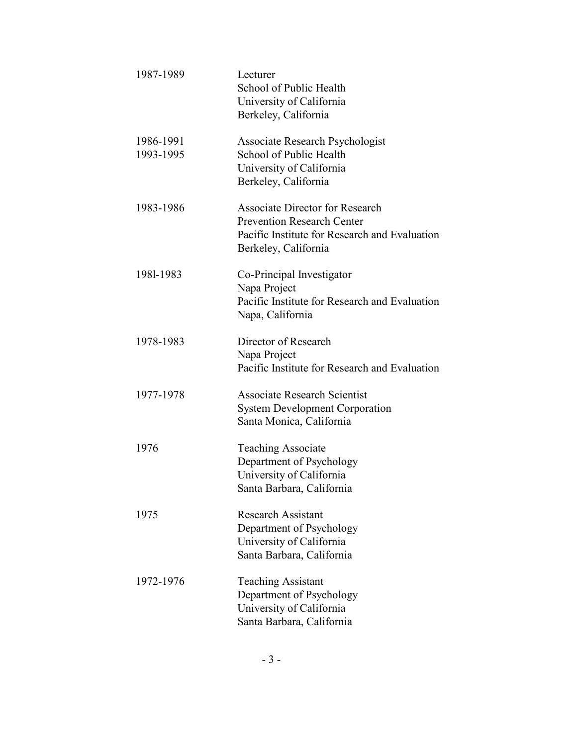| 1987-1989              | Lecturer<br>School of Public Health<br>University of California<br>Berkeley, California                                                              |
|------------------------|------------------------------------------------------------------------------------------------------------------------------------------------------|
| 1986-1991<br>1993-1995 | Associate Research Psychologist<br>School of Public Health<br>University of California<br>Berkeley, California                                       |
| 1983-1986              | <b>Associate Director for Research</b><br><b>Prevention Research Center</b><br>Pacific Institute for Research and Evaluation<br>Berkeley, California |
| 1981-1983              | Co-Principal Investigator<br>Napa Project<br>Pacific Institute for Research and Evaluation<br>Napa, California                                       |
| 1978-1983              | Director of Research<br>Napa Project<br>Pacific Institute for Research and Evaluation                                                                |
| 1977-1978              | <b>Associate Research Scientist</b><br><b>System Development Corporation</b><br>Santa Monica, California                                             |
| 1976                   | <b>Teaching Associate</b><br>Department of Psychology<br>University of California<br>Santa Barbara, California                                       |
| 1975                   | Research Assistant<br>Department of Psychology<br>University of California<br>Santa Barbara, California                                              |
| 1972-1976              | <b>Teaching Assistant</b><br>Department of Psychology<br>University of California<br>Santa Barbara, California                                       |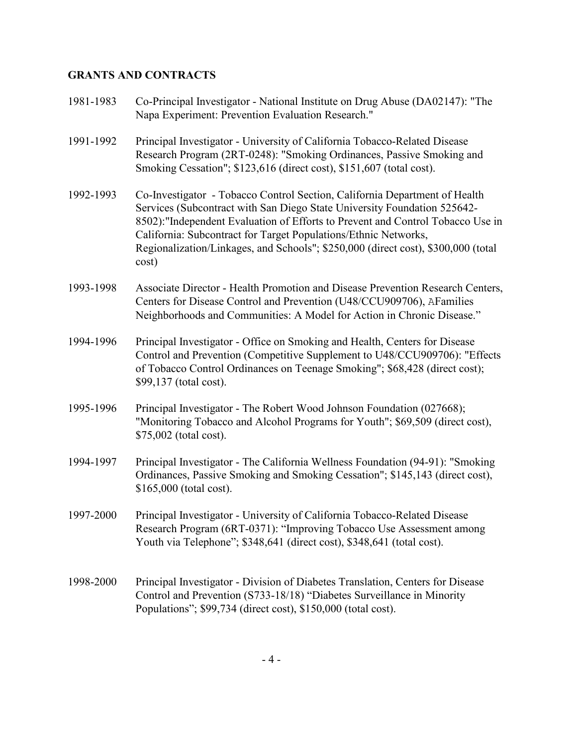# **GRANTS AND CONTRACTS**

| 1981-1983 | Co-Principal Investigator - National Institute on Drug Abuse (DA02147): "The<br>Napa Experiment: Prevention Evaluation Research."                                                                                                                                                                                                                                                                          |
|-----------|------------------------------------------------------------------------------------------------------------------------------------------------------------------------------------------------------------------------------------------------------------------------------------------------------------------------------------------------------------------------------------------------------------|
| 1991-1992 | Principal Investigator - University of California Tobacco-Related Disease<br>Research Program (2RT-0248): "Smoking Ordinances, Passive Smoking and<br>Smoking Cessation"; \$123,616 (direct cost), \$151,607 (total cost).                                                                                                                                                                                 |
| 1992-1993 | Co-Investigator - Tobacco Control Section, California Department of Health<br>Services (Subcontract with San Diego State University Foundation 525642-<br>8502): "Independent Evaluation of Efforts to Prevent and Control Tobacco Use in<br>California: Subcontract for Target Populations/Ethnic Networks,<br>Regionalization/Linkages, and Schools"; \$250,000 (direct cost), \$300,000 (total<br>cost) |
| 1993-1998 | Associate Director - Health Promotion and Disease Prevention Research Centers,<br>Centers for Disease Control and Prevention (U48/CCU909706), AFamilies<br>Neighborhoods and Communities: A Model for Action in Chronic Disease."                                                                                                                                                                          |
| 1994-1996 | Principal Investigator - Office on Smoking and Health, Centers for Disease<br>Control and Prevention (Competitive Supplement to U48/CCU909706): "Effects<br>of Tobacco Control Ordinances on Teenage Smoking"; \$68,428 (direct cost);<br>\$99,137 (total cost).                                                                                                                                           |
| 1995-1996 | Principal Investigator - The Robert Wood Johnson Foundation (027668);<br>"Monitoring Tobacco and Alcohol Programs for Youth"; \$69,509 (direct cost),<br>\$75,002 (total cost).                                                                                                                                                                                                                            |
| 1994-1997 | Principal Investigator - The California Wellness Foundation (94-91): "Smoking<br>Ordinances, Passive Smoking and Smoking Cessation"; \$145,143 (direct cost),<br>$$165,000$ (total cost).                                                                                                                                                                                                                  |
| 1997-2000 | Principal Investigator - University of California Tobacco-Related Disease<br>Research Program (6RT-0371): "Improving Tobacco Use Assessment among<br>Youth via Telephone"; \$348,641 (direct cost), \$348,641 (total cost).                                                                                                                                                                                |
| 1998-2000 | Principal Investigator - Division of Diabetes Translation, Centers for Disease<br>Control and Prevention (S733-18/18) "Diabetes Surveillance in Minority<br>Populations"; \$99,734 (direct cost), \$150,000 (total cost).                                                                                                                                                                                  |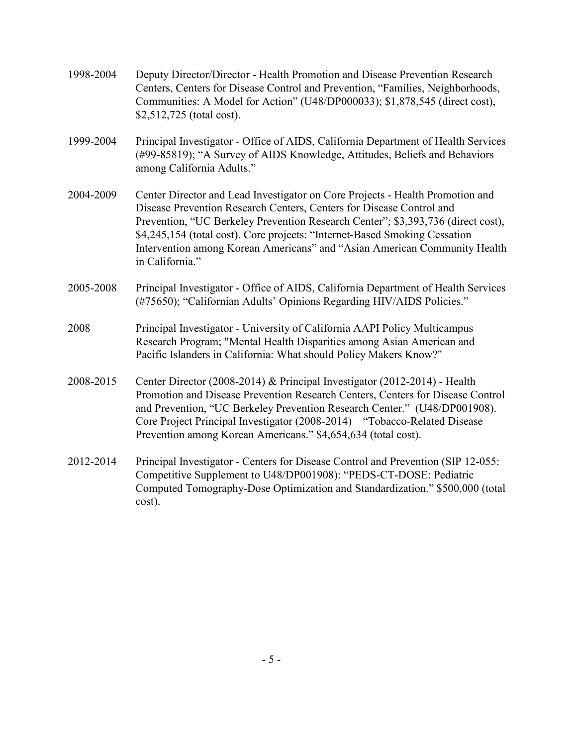| 1998-2004 | Deputy Director/Director - Health Promotion and Disease Prevention Research<br>Centers, Centers for Disease Control and Prevention, "Families, Neighborhoods,<br>Communities: A Model for Action" (U48/DP000033); \$1,878,545 (direct cost),<br>\$2,512,725 (total cost).                                                                                                                                               |
|-----------|-------------------------------------------------------------------------------------------------------------------------------------------------------------------------------------------------------------------------------------------------------------------------------------------------------------------------------------------------------------------------------------------------------------------------|
| 1999-2004 | Principal Investigator - Office of AIDS, California Department of Health Services<br>(#99-85819); "A Survey of AIDS Knowledge, Attitudes, Beliefs and Behaviors<br>among California Adults."                                                                                                                                                                                                                            |
| 2004-2009 | Center Director and Lead Investigator on Core Projects - Health Promotion and<br>Disease Prevention Research Centers, Centers for Disease Control and<br>Prevention, "UC Berkeley Prevention Research Center"; \$3,393,736 (direct cost),<br>\$4,245,154 (total cost). Core projects: "Internet-Based Smoking Cessation<br>Intervention among Korean Americans" and "Asian American Community Health<br>in California." |
| 2005-2008 | Principal Investigator - Office of AIDS, California Department of Health Services<br>(#75650); "Californian Adults' Opinions Regarding HIV/AIDS Policies."                                                                                                                                                                                                                                                              |
| 2008      | Principal Investigator - University of California AAPI Policy Multicampus<br>Research Program; "Mental Health Disparities among Asian American and<br>Pacific Islanders in California: What should Policy Makers Know?"                                                                                                                                                                                                 |
| 2008-2015 | Center Director (2008-2014) & Principal Investigator (2012-2014) - Health<br>Promotion and Disease Prevention Research Centers, Centers for Disease Control<br>and Prevention, "UC Berkeley Prevention Research Center." (U48/DP001908).<br>Core Project Principal Investigator (2008-2014) – "Tobacco-Related Disease<br>Prevention among Korean Americans." \$4,654,634 (total cost).                                 |
| 2012-2014 | Principal Investigator - Centers for Disease Control and Prevention (SIP 12-055:<br>Competitive Supplement to U48/DP001908): "PEDS-CT-DOSE: Pediatric<br>Computed Tomography-Dose Optimization and Standardization." \$500,000 (total<br>cost).                                                                                                                                                                         |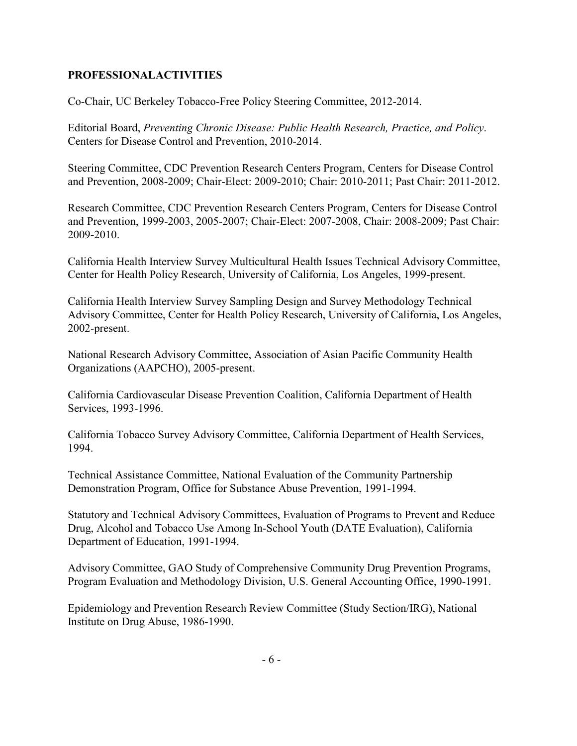## **PROFESSIONALACTIVITIES**

Co-Chair, UC Berkeley Tobacco-Free Policy Steering Committee, 2012-2014.

Editorial Board, *Preventing Chronic Disease: Public Health Research, Practice, and Policy*. Centers for Disease Control and Prevention, 2010-2014.

Steering Committee, CDC Prevention Research Centers Program, Centers for Disease Control and Prevention, 2008-2009; Chair-Elect: 2009-2010; Chair: 2010-2011; Past Chair: 2011-2012.

Research Committee, CDC Prevention Research Centers Program, Centers for Disease Control and Prevention, 1999-2003, 2005-2007; Chair-Elect: 2007-2008, Chair: 2008-2009; Past Chair: 2009-2010.

California Health Interview Survey Multicultural Health Issues Technical Advisory Committee, Center for Health Policy Research, University of California, Los Angeles, 1999-present.

California Health Interview Survey Sampling Design and Survey Methodology Technical Advisory Committee, Center for Health Policy Research, University of California, Los Angeles, 2002-present.

National Research Advisory Committee, Association of Asian Pacific Community Health Organizations (AAPCHO), 2005-present.

California Cardiovascular Disease Prevention Coalition, California Department of Health Services, 1993-1996.

California Tobacco Survey Advisory Committee, California Department of Health Services, 1994.

Technical Assistance Committee, National Evaluation of the Community Partnership Demonstration Program, Office for Substance Abuse Prevention, 1991-1994.

Statutory and Technical Advisory Committees, Evaluation of Programs to Prevent and Reduce Drug, Alcohol and Tobacco Use Among In-School Youth (DATE Evaluation), California Department of Education, 1991-1994.

Advisory Committee, GAO Study of Comprehensive Community Drug Prevention Programs, Program Evaluation and Methodology Division, U.S. General Accounting Office, 1990-1991.

Epidemiology and Prevention Research Review Committee (Study Section/IRG), National Institute on Drug Abuse, 1986-1990.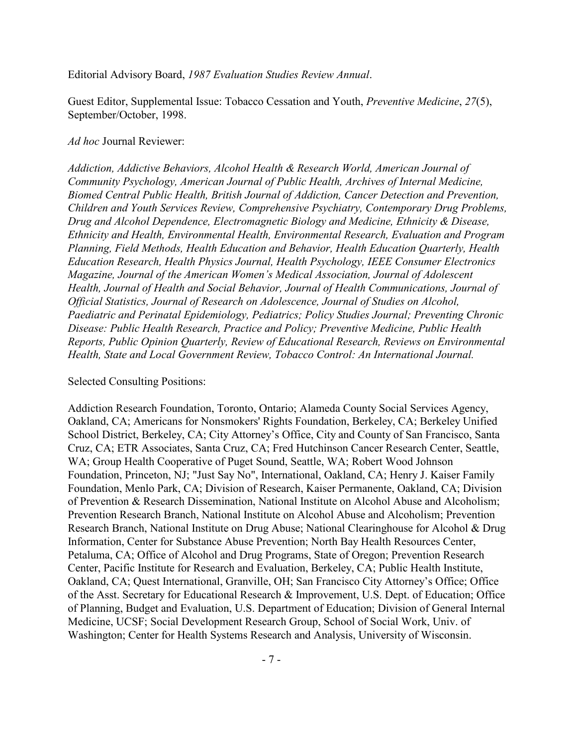Editorial Advisory Board, *1987 Evaluation Studies Review Annual*.

Guest Editor, Supplemental Issue: Tobacco Cessation and Youth, *Preventive Medicine*, *27*(5), September/October, 1998.

#### *Ad hoc* Journal Reviewer:

*Addiction, Addictive Behaviors, Alcohol Health & Research World, American Journal of Community Psychology, American Journal of Public Health, Archives of Internal Medicine, Biomed Central Public Health, British Journal of Addiction, Cancer Detection and Prevention, Children and Youth Services Review, Comprehensive Psychiatry, Contemporary Drug Problems, Drug and Alcohol Dependence, Electromagnetic Biology and Medicine, Ethnicity & Disease, Ethnicity and Health, Environmental Health, Environmental Research, Evaluation and Program Planning, Field Methods, Health Education and Behavior, Health Education Quarterly, Health Education Research, Health Physics Journal, Health Psychology, IEEE Consumer Electronics Magazine, Journal of the American Women's Medical Association, Journal of Adolescent Health, Journal of Health and Social Behavior, Journal of Health Communications, Journal of Official Statistics, Journal of Research on Adolescence, Journal of Studies on Alcohol, Paediatric and Perinatal Epidemiology, Pediatrics; Policy Studies Journal; Preventing Chronic Disease: Public Health Research, Practice and Policy; Preventive Medicine, Public Health Reports, Public Opinion Quarterly, Review of Educational Research, Reviews on Environmental Health, State and Local Government Review, Tobacco Control: An International Journal.*

#### Selected Consulting Positions:

Addiction Research Foundation, Toronto, Ontario; Alameda County Social Services Agency, Oakland, CA; Americans for Nonsmokers' Rights Foundation, Berkeley, CA; Berkeley Unified School District, Berkeley, CA; City Attorney's Office, City and County of San Francisco, Santa Cruz, CA; ETR Associates, Santa Cruz, CA; Fred Hutchinson Cancer Research Center, Seattle, WA; Group Health Cooperative of Puget Sound, Seattle, WA; Robert Wood Johnson Foundation, Princeton, NJ; "Just Say No", International, Oakland, CA; Henry J. Kaiser Family Foundation, Menlo Park, CA; Division of Research, Kaiser Permanente, Oakland, CA; Division of Prevention & Research Dissemination, National Institute on Alcohol Abuse and Alcoholism; Prevention Research Branch, National Institute on Alcohol Abuse and Alcoholism; Prevention Research Branch, National Institute on Drug Abuse; National Clearinghouse for Alcohol & Drug Information, Center for Substance Abuse Prevention; North Bay Health Resources Center, Petaluma, CA; Office of Alcohol and Drug Programs, State of Oregon; Prevention Research Center, Pacific Institute for Research and Evaluation, Berkeley, CA; Public Health Institute, Oakland, CA; Quest International, Granville, OH; San Francisco City Attorney's Office; Office of the Asst. Secretary for Educational Research & Improvement, U.S. Dept. of Education; Office of Planning, Budget and Evaluation, U.S. Department of Education; Division of General Internal Medicine, UCSF; Social Development Research Group, School of Social Work, Univ. of Washington; Center for Health Systems Research and Analysis, University of Wisconsin.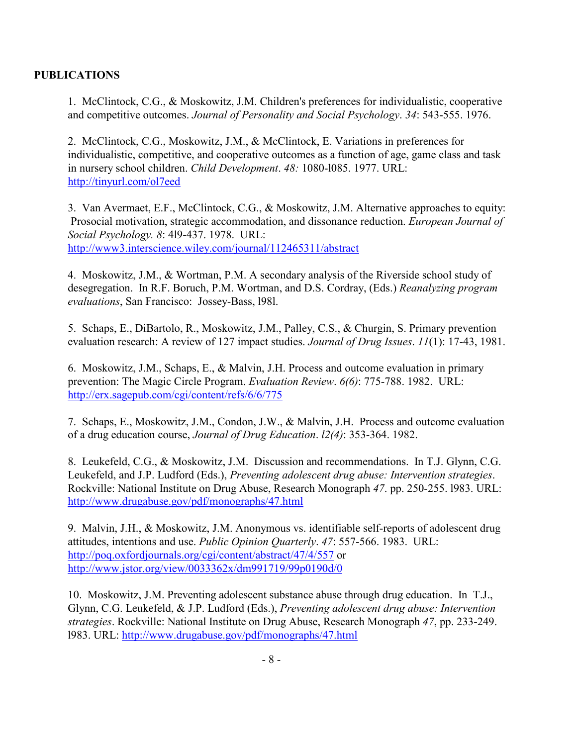# **PUBLICATIONS**

1. McClintock, C.G., & Moskowitz, J.M. Children's preferences for individualistic, cooperative and competitive outcomes. *Journal of Personality and Social Psychology*. *34*: 543-555. 1976.

2. McClintock, C.G., Moskowitz, J.M., & McClintock, E. Variations in preferences for individualistic, competitive, and cooperative outcomes as a function of age, game class and task in nursery school children. *Child Development*. *48:* 1080-l085. 1977. URL: <http://tinyurl.com/ol7eed>

3. Van Avermaet, E.F., McClintock, C.G., & Moskowitz, J.M. Alternative approaches to equity: Prosocial motivation, strategic accommodation, and dissonance reduction. *European Journal of Social Psychology. 8*: 4l9-437. 1978. URL: <http://www3.interscience.wiley.com/journal/112465311/abstract>

4. Moskowitz, J.M., & Wortman, P.M. A secondary analysis of the Riverside school study of desegregation. In R.F. Boruch, P.M. Wortman, and D.S. Cordray, (Eds.) *Reanalyzing program evaluations*, San Francisco: Jossey-Bass, l98l.

5. Schaps, E., DiBartolo, R., Moskowitz, J.M., Palley, C.S., & Churgin, S. Primary prevention evaluation research: A review of 127 impact studies. *Journal of Drug Issues*. *11*(1): 17-43, 1981.

6. Moskowitz, J.M., Schaps, E., & Malvin, J.H. Process and outcome evaluation in primary prevention: The Magic Circle Program. *Evaluation Review*. *6(6)*: 775-788. 1982. URL: <http://erx.sagepub.com/cgi/content/refs/6/6/775>

7. Schaps, E., Moskowitz, J.M., Condon, J.W., & Malvin, J.H. Process and outcome evaluation of a drug education course, *Journal of Drug Education*. *l2(4)*: 353-364. 1982.

8. Leukefeld, C.G., & Moskowitz, J.M. Discussion and recommendations. In T.J. Glynn, C.G. Leukefeld, and J.P. Ludford (Eds.), *Preventing adolescent drug abuse: Intervention strategies*. Rockville: National Institute on Drug Abuse, Research Monograph *47*. pp. 250-255. l983. URL: <http://www.drugabuse.gov/pdf/monographs/47.html>

9. Malvin, J.H., & Moskowitz, J.M. Anonymous vs. identifiable self-reports of adolescent drug attitudes, intentions and use. *Public Opinion Quarterly*. *47*: 557-566. 1983. URL: <http://poq.oxfordjournals.org/cgi/content/abstract/47/4/557> or <http://www.jstor.org/view/0033362x/dm991719/99p0190d/0>

10. Moskowitz, J.M. Preventing adolescent substance abuse through drug education. In T.J., Glynn, C.G. Leukefeld, & J.P. Ludford (Eds.), *Preventing adolescent drug abuse: Intervention strategies*. Rockville: National Institute on Drug Abuse, Research Monograph *47*, pp. 233-249. l983. URL:<http://www.drugabuse.gov/pdf/monographs/47.html>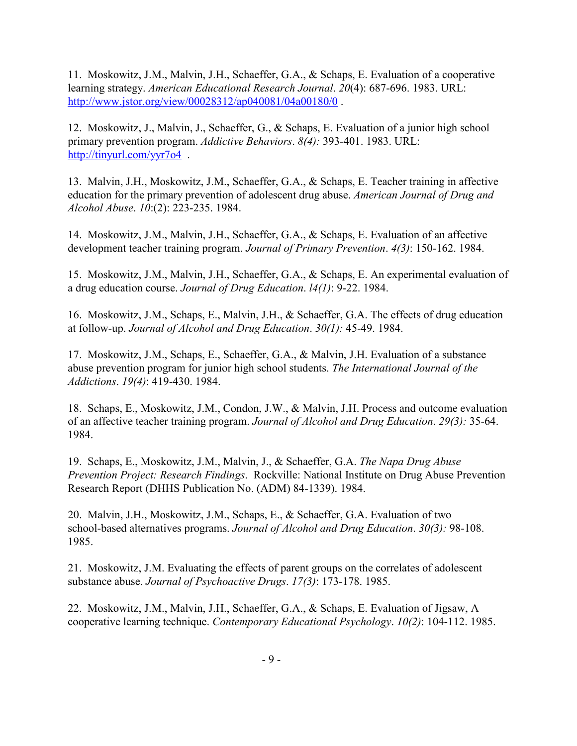11. Moskowitz, J.M., Malvin, J.H., Schaeffer, G.A., & Schaps, E. Evaluation of a cooperative learning strategy. *American Educational Research Journal*. *20*(4): 687-696. 1983. URL: <http://www.jstor.org/view/00028312/ap040081/04a00180/0> .

12. Moskowitz, J., Malvin, J., Schaeffer, G., & Schaps, E. Evaluation of a junior high school primary prevention program. *Addictive Behaviors*. *8(4):* 393-401. 1983. URL: <http://tinyurl.com/yyr7o4>.

13. Malvin, J.H., Moskowitz, J.M., Schaeffer, G.A., & Schaps, E. Teacher training in affective education for the primary prevention of adolescent drug abuse. *American Journal of Drug and Alcohol Abuse*. *10*:(2): 223-235. 1984.

14. Moskowitz, J.M., Malvin, J.H., Schaeffer, G.A., & Schaps, E. Evaluation of an affective development teacher training program. *Journal of Primary Prevention*. *4(3)*: 150-162. 1984.

15. Moskowitz, J.M., Malvin, J.H., Schaeffer, G.A., & Schaps, E. An experimental evaluation of a drug education course. *Journal of Drug Education*. *l4(1)*: 9-22. 1984.

16. Moskowitz, J.M., Schaps, E., Malvin, J.H., & Schaeffer, G.A. The effects of drug education at follow-up. *Journal of Alcohol and Drug Education*. *30(1):* 45-49. 1984.

17. Moskowitz, J.M., Schaps, E., Schaeffer, G.A., & Malvin, J.H. Evaluation of a substance abuse prevention program for junior high school students. *The International Journal of the Addictions*. *19(4)*: 419-430. 1984.

18. Schaps, E., Moskowitz, J.M., Condon, J.W., & Malvin, J.H. Process and outcome evaluation of an affective teacher training program. *Journal of Alcohol and Drug Education*. *29(3):* 35-64. 1984.

19. Schaps, E., Moskowitz, J.M., Malvin, J., & Schaeffer, G.A. *The Napa Drug Abuse Prevention Project: Research Findings*. Rockville: National Institute on Drug Abuse Prevention Research Report (DHHS Publication No. (ADM) 84-1339). 1984.

20. Malvin, J.H., Moskowitz, J.M., Schaps, E., & Schaeffer, G.A. Evaluation of two school-based alternatives programs. *Journal of Alcohol and Drug Education*. *30(3):* 98-108. 1985.

21. Moskowitz, J.M. Evaluating the effects of parent groups on the correlates of adolescent substance abuse. *Journal of Psychoactive Drugs*. *17(3)*: 173-178. 1985.

22. Moskowitz, J.M., Malvin, J.H., Schaeffer, G.A., & Schaps, E. Evaluation of Jigsaw, A cooperative learning technique. *Contemporary Educational Psychology*. *10(2)*: 104-112. 1985.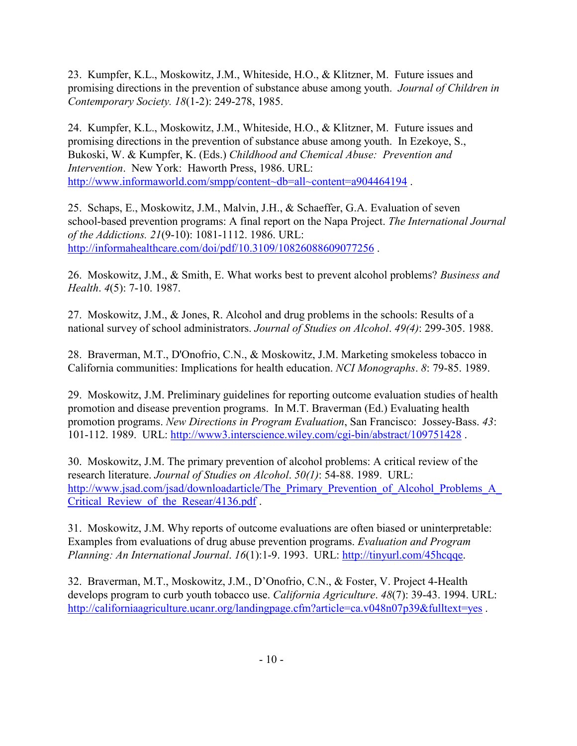23. Kumpfer, K.L., Moskowitz, J.M., Whiteside, H.O., & Klitzner, M. Future issues and promising directions in the prevention of substance abuse among youth. *Journal of Children in Contemporary Society. 18*(1-2): 249-278, 1985.

24. Kumpfer, K.L., Moskowitz, J.M., Whiteside, H.O., & Klitzner, M. Future issues and promising directions in the prevention of substance abuse among youth. In Ezekoye, S., Bukoski, W. & Kumpfer, K. (Eds.) *Childhood and Chemical Abuse: Prevention and Intervention*. New York: Haworth Press, 1986. URL: [http://www.informaworld.com/smpp/content~db=all~content=a904464194](http://www.informaworld.com/smpp/content%7Edb=all%7Econtent=a904464194).

25. Schaps, E., Moskowitz, J.M., Malvin, J.H., & Schaeffer, G.A. Evaluation of seven school-based prevention programs: A final report on the Napa Project. *The International Journal of the Addictions. 21*(9-10): 1081-1112. 1986. URL: <http://informahealthcare.com/doi/pdf/10.3109/10826088609077256> .

26. Moskowitz, J.M., & Smith, E. What works best to prevent alcohol problems? *Business and Health*. *4*(5): 7-10. 1987.

27. Moskowitz, J.M., & Jones, R. Alcohol and drug problems in the schools: Results of a national survey of school administrators. *Journal of Studies on Alcohol*. *49(4)*: 299-305. 1988.

28. Braverman, M.T., D'Onofrio, C.N., & Moskowitz, J.M. Marketing smokeless tobacco in California communities: Implications for health education. *NCI Monographs*. *8*: 79-85. 1989.

29. Moskowitz, J.M. Preliminary guidelines for reporting outcome evaluation studies of health promotion and disease prevention programs. In M.T. Braverman (Ed.) Evaluating health promotion programs. *New Directions in Program Evaluation*, San Francisco: Jossey-Bass. *43*: 101-112. 1989. URL:<http://www3.interscience.wiley.com/cgi-bin/abstract/109751428> .

30. Moskowitz, J.M. The primary prevention of alcohol problems: A critical review of the research literature. *Journal of Studies on Alcohol*. *50(1)*: 54-88. 1989. URL: http://www.jsad.com/jsad/downloadarticle/The Primary Prevention of Alcohol Problems A Critical Review of the Resear/4136.pdf .

31. Moskowitz, J.M. Why reports of outcome evaluations are often biased or uninterpretable: Examples from evaluations of drug abuse prevention programs. *Evaluation and Program Planning: An International Journal*. *16*(1):1-9. 1993. URL: [http://tinyurl.com/45hcqqe.](http://tinyurl.com/45hcqqe)

32. Braverman, M.T., Moskowitz, J.M., D'Onofrio, C.N., & Foster, V. Project 4-Health develops program to curb youth tobacco use. *California Agriculture*. *48*(7): 39-43. 1994. URL: <http://californiaagriculture.ucanr.org/landingpage.cfm?article=ca.v048n07p39&fulltext=yes>.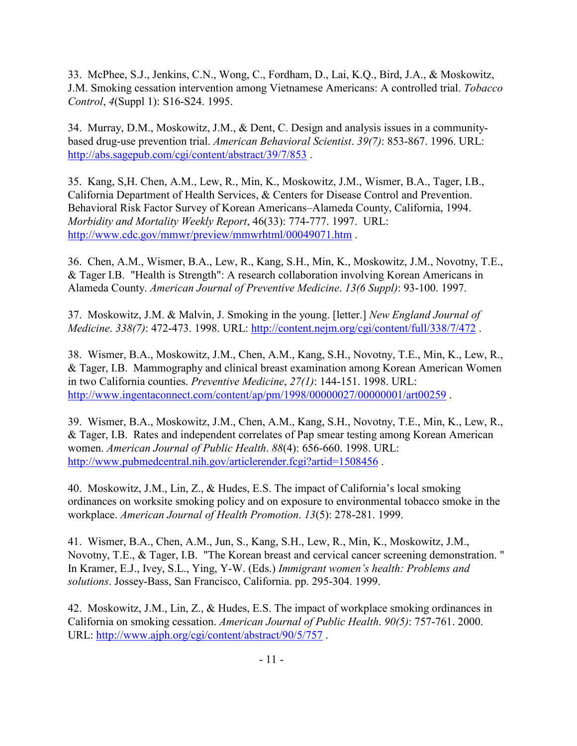33. McPhee, S.J., Jenkins, C.N., Wong, C., Fordham, D., Lai, K.Q., Bird, J.A., & Moskowitz, J.M. Smoking cessation intervention among Vietnamese Americans: A controlled trial. *Tobacco Control*, *4*(Suppl 1): S16-S24. 1995.

34. Murray, D.M., Moskowitz, J.M., & Dent, C. Design and analysis issues in a communitybased drug-use prevention trial. *American Behavioral Scientist*. *39(7)*: 853-867. 1996. URL: <http://abs.sagepub.com/cgi/content/abstract/39/7/853> .

35. Kang, S,H. Chen, A.M., Lew, R., Min, K., Moskowitz, J.M., Wismer, B.A., Tager, I.B., California Department of Health Services, & Centers for Disease Control and Prevention. Behavioral Risk Factor Survey of Korean Americans–Alameda County, California, 1994. *Morbidity and Mortality Weekly Report*, 46(33): 774-777. 1997. URL: <http://www.cdc.gov/mmwr/preview/mmwrhtml/00049071.htm> .

36. Chen, A.M., Wismer, B.A., Lew, R., Kang, S.H., Min, K., Moskowitz, J.M., Novotny, T.E., & Tager I.B. "Health is Strength": A research collaboration involving Korean Americans in Alameda County. *American Journal of Preventive Medicine*. *13(6 Suppl)*: 93-100. 1997.

37. Moskowitz, J.M. & Malvin, J. Smoking in the young. [letter.] *New England Journal of Medicine*. *338(7)*: 472-473. 1998. URL:<http://content.nejm.org/cgi/content/full/338/7/472> .

38. Wismer, B.A., Moskowitz, J.M., Chen, A.M., Kang, S.H., Novotny, T.E., Min, K., Lew, R., & Tager, I.B. Mammography and clinical breast examination among Korean American Women in two California counties. *Preventive Medicine*, *27(1)*: 144-151. 1998. URL: <http://www.ingentaconnect.com/content/ap/pm/1998/00000027/00000001/art00259>.

39. Wismer, B.A., Moskowitz, J.M., Chen, A.M., Kang, S.H., Novotny, T.E., Min, K., Lew, R., & Tager, I.B. Rates and independent correlates of Pap smear testing among Korean American women. *American Journal of Public Health*. *88*(4): 656-660. 1998. URL: <http://www.pubmedcentral.nih.gov/articlerender.fcgi?artid=1508456> .

40. Moskowitz, J.M., Lin, Z., & Hudes, E.S. The impact of California's local smoking ordinances on worksite smoking policy and on exposure to environmental tobacco smoke in the workplace. *American Journal of Health Promotion*. *13*(5): 278-281. 1999.

41. Wismer, B.A., Chen, A.M., Jun, S., Kang, S.H., Lew, R., Min, K., Moskowitz, J.M., Novotny, T.E., & Tager, I.B. "The Korean breast and cervical cancer screening demonstration. " In Kramer, E.J., Ivey, S.L., Ying, Y-W. (Eds.) *Immigrant women's health: Problems and solutions*. Jossey-Bass, San Francisco, California. pp. 295-304. 1999.

42. Moskowitz, J.M., Lin, Z., & Hudes, E.S. The impact of workplace smoking ordinances in California on smoking cessation. *American Journal of Public Health*. *90(5)*: 757-761. 2000. URL:<http://www.ajph.org/cgi/content/abstract/90/5/757> .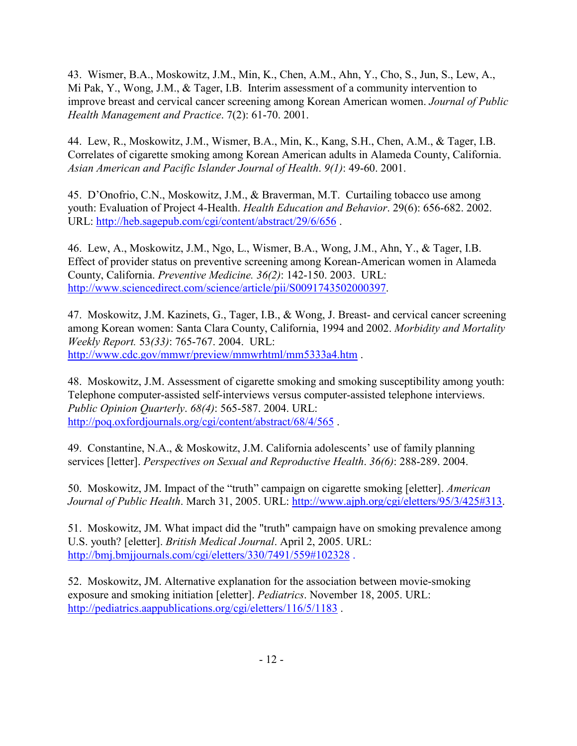43. Wismer, B.A., Moskowitz, J.M., Min, K., Chen, A.M., Ahn, Y., Cho, S., Jun, S., Lew, A., Mi Pak, Y., Wong, J.M., & Tager, I.B. Interim assessment of a community intervention to improve breast and cervical cancer screening among Korean American women. *Journal of Public Health Management and Practice*. 7(2): 61-70. 2001.

44. Lew, R., Moskowitz, J.M., Wismer, B.A., Min, K., Kang, S.H., Chen, A.M., & Tager, I.B. Correlates of cigarette smoking among Korean American adults in Alameda County, California. *Asian American and Pacific Islander Journal of Health*. *9(1)*: 49-60. 2001.

45. D'Onofrio, C.N., Moskowitz, J.M., & Braverman, M.T. Curtailing tobacco use among youth: Evaluation of Project 4-Health. *Health Education and Behavior*. 29(6): 656-682. 2002. URL:<http://heb.sagepub.com/cgi/content/abstract/29/6/656> .

46. Lew, A., Moskowitz, J.M., Ngo, L., Wismer, B.A., Wong, J.M., Ahn, Y., & Tager, I.B. Effect of provider status on preventive screening among Korean-American women in Alameda County, California. *Preventive Medicine. 36(2)*: 142-150. 2003. URL: [http://www.sciencedirect.com/science/article/pii/S0091743502000397.](http://www.sciencedirect.com/science/article/pii/S0091743502000397)

47. Moskowitz, J.M. Kazinets, G., Tager, I.B., & Wong, J. Breast- and cervical cancer screening among Korean women: Santa Clara County, California, 1994 and 2002. *Morbidity and Mortality Weekly Report.* 53*(33)*: 765-767. 2004. URL: <http://www.cdc.gov/mmwr/preview/mmwrhtml/mm5333a4.htm> .

48. Moskowitz, J.M. Assessment of cigarette smoking and smoking susceptibility among youth: Telephone computer-assisted self-interviews versus computer-assisted telephone interviews. *Public Opinion Quarterly*. *68(4)*: 565-587. 2004. URL: <http://poq.oxfordjournals.org/cgi/content/abstract/68/4/565> .

49. Constantine, N.A., & Moskowitz, J.M. California adolescents' use of family planning services [letter]. *Perspectives on Sexual and Reproductive Health*. *36(6)*: 288-289. 2004.

50. Moskowitz, JM. Impact of the "truth" campaign on cigarette smoking [eletter]. *American Journal of Public Health*. March 31, 2005. URL: [http://www.ajph.org/cgi/eletters/95/3/425#313.](http://www.ajph.org/cgi/eletters/95/3/425#313)

51. Moskowitz, JM. What impact did the "truth" campaign have on smoking prevalence among U.S. youth? [eletter]. *British Medical Journal*. April 2, 2005. URL: <http://bmj.bmjjournals.com/cgi/eletters/330/7491/559#102328> .

52. Moskowitz, JM. Alternative explanation for the association between movie-smoking exposure and smoking initiation [eletter]. *Pediatrics*. November 18, 2005. URL: <http://pediatrics.aappublications.org/cgi/eletters/116/5/1183>.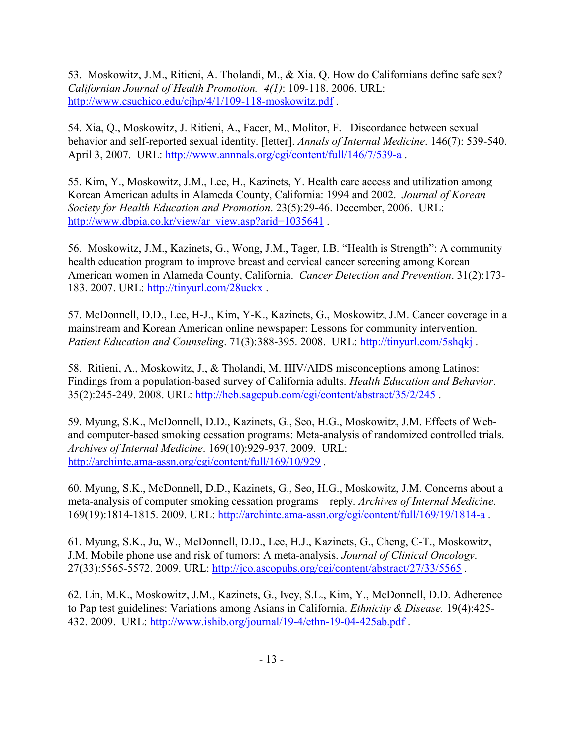53. Moskowitz, J.M., Ritieni, A. Tholandi, M., & Xia. Q. How do Californians define safe sex? *Californian Journal of Health Promotion. 4(1)*: 109-118. 2006. URL: <http://www.csuchico.edu/cjhp/4/1/109-118-moskowitz.pdf> .

54. Xia, Q., Moskowitz, J. Ritieni, A., Facer, M., Molitor, F. Discordance between sexual behavior and self-reported sexual identity. [letter]. *Annals of Internal Medicine*. 146(7): 539-540. April 3, 2007. URL:<http://www.annnals.org/cgi/content/full/146/7/539-a>.

55. Kim, Y., Moskowitz, J.M., Lee, H., Kazinets, Y. Health care access and utilization among Korean American adults in Alameda County, California: 1994 and 2002. *Journal of Korean Society for Health Education and Promotion*. 23(5):29-46. December, 2006. URL: [http://www.dbpia.co.kr/view/ar\\_view.asp?arid=1035641](http://www.dbpia.co.kr/view/ar_view.asp?arid=1035641).

56. Moskowitz, J.M., Kazinets, G., Wong, J.M., Tager, I.B. "Health is Strength": A community health education program to improve breast and cervical cancer screening among Korean American women in Alameda County, California. *Cancer Detection and Prevention*. 31(2):173- 183. 2007. URL:<http://tinyurl.com/28uekx> .

57. McDonnell, D.D., Lee, H-J., Kim, Y-K., Kazinets, G., Moskowitz, J.M. Cancer coverage in a mainstream and Korean American online newspaper: Lessons for community intervention. *Patient Education and Counseling*. 71(3):388-395. 2008. URL:<http://tinyurl.com/5shqkj> .

58. Ritieni, A., Moskowitz, J., & Tholandi, M. HIV/AIDS misconceptions among Latinos: Findings from a population-based survey of California adults. *Health Education and Behavior*. 35(2):245-249. 2008. URL:<http://heb.sagepub.com/cgi/content/abstract/35/2/245> .

59. Myung, S.K., McDonnell, D.D., Kazinets, G., Seo, H.G., Moskowitz, J.M. Effects of Weband computer-based smoking cessation programs: Meta-analysis of randomized controlled trials. *Archives of Internal Medicine*. 169(10):929-937. 2009. URL: <http://archinte.ama-assn.org/cgi/content/full/169/10/929> .

60. Myung, S.K., McDonnell, D.D., Kazinets, G., Seo, H.G., Moskowitz, J.M. Concerns about a meta-analysis of computer smoking cessation programs—reply. *Archives of Internal Medicine*. 169(19):1814-1815. 2009. URL:<http://archinte.ama-assn.org/cgi/content/full/169/19/1814-a> .

61. Myung, S.K., Ju, W., McDonnell, D.D., Lee, H.J., Kazinets, G., Cheng, C-T., Moskowitz, J.M. Mobile phone use and risk of tumors: A meta-analysis. *Journal of Clinical Oncology*. 27(33):5565-5572. 2009. URL:<http://jco.ascopubs.org/cgi/content/abstract/27/33/5565>.

62. Lin, M.K., Moskowitz, J.M., Kazinets, G., Ivey, S.L., Kim, Y., McDonnell, D.D. Adherence to Pap test guidelines: Variations among Asians in California. *Ethnicity & Disease.* 19(4):425- 432. 2009. URL:<http://www.ishib.org/journal/19-4/ethn-19-04-425ab.pdf> .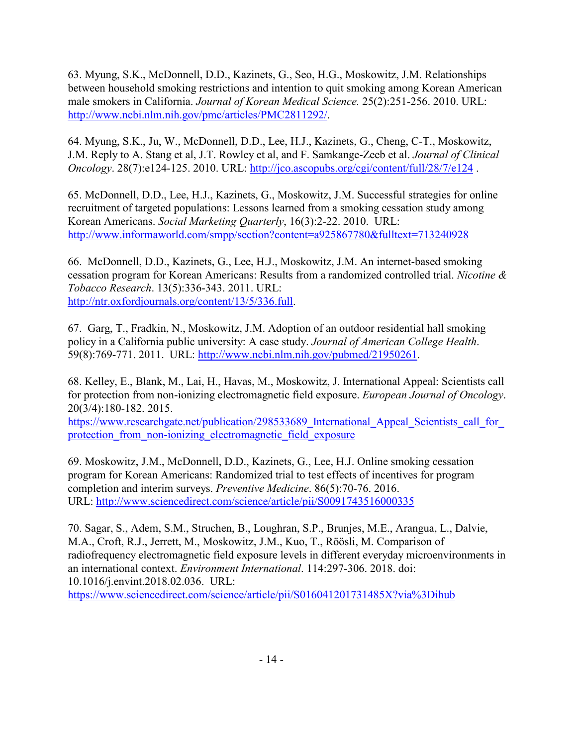63. Myung, S.K., McDonnell, D.D., Kazinets, G., Seo, H.G., Moskowitz, J.M. Relationships between household smoking restrictions and intention to quit smoking among Korean American male smokers in California. *Journal of Korean Medical Science.* 25(2):251-256. 2010. URL: [http://www.ncbi.nlm.nih.gov/pmc/articles/PMC2811292/.](http://www.ncbi.nlm.nih.gov/pmc/articles/PMC2811292/)

64. Myung, S.K., Ju, W., McDonnell, D.D., Lee, H.J., Kazinets, G., Cheng, C-T., Moskowitz, J.M. Reply to A. Stang et al, J.T. Rowley et al, and F. Samkange-Zeeb et al. *Journal of Clinical Oncology*. 28(7):e124-125. 2010. URL:<http://jco.ascopubs.org/cgi/content/full/28/7/e124> .

65. McDonnell, D.D., Lee, H.J., Kazinets, G., Moskowitz, J.M. Successful strategies for online recruitment of targeted populations: Lessons learned from a smoking cessation study among Korean Americans. *Social Marketing Quarterly*, 16(3):2-22. 2010. URL: <http://www.informaworld.com/smpp/section?content=a925867780&fulltext=713240928>

66. McDonnell, D.D., Kazinets, G., Lee, H.J., Moskowitz, J.M. An internet-based smoking cessation program for Korean Americans: Results from a randomized controlled trial. *Nicotine & Tobacco Research*. 13(5):336-343. 2011. URL: [http://ntr.oxfordjournals.org/content/13/5/336.full.](http://ntr.oxfordjournals.org/content/13/5/336.full)

67. Garg, T., Fradkin, N., Moskowitz, J.M. Adoption of an outdoor residential hall smoking policy in a California public university: A case study. *Journal of American College Health*. 59(8):769-771. 2011. URL: [http://www.ncbi.nlm.nih.gov/pubmed/21950261.](http://www.ncbi.nlm.nih.gov/pubmed/21950261)

68. Kelley, E., Blank, M., Lai, H., Havas, M., Moskowitz, J. International Appeal: Scientists call for protection from non-ionizing electromagnetic field exposure. *European Journal of Oncology*. 20(3/4):180-182. 2015.

https://www.researchgate.net/publication/298533689 International Appeal Scientists call for protection from non-ionizing electromagnetic field exposure

69. Moskowitz, J.M., McDonnell, D.D., Kazinets, G., Lee, H.J. Online smoking cessation program for Korean Americans: Randomized trial to test effects of incentives for program completion and interim surveys. *Preventive Medicine*. 86(5):70-76. 2016. URL:<http://www.sciencedirect.com/science/article/pii/S0091743516000335>

70. Sagar, S., Adem, S.M., Struchen, B., Loughran, S.P., Brunjes, M.E., Arangua, L., Dalvie, M.A., Croft, R.J., Jerrett, M., Moskowitz, J.M., Kuo, T., Röösli, M. Comparison of radiofrequency electromagnetic field exposure levels in different everyday microenvironments in an international context. *Environment International*. 114:297-306. 2018. doi: 10.1016/j.envint.2018.02.036. URL:

<https://www.sciencedirect.com/science/article/pii/S016041201731485X?via%3Dihub>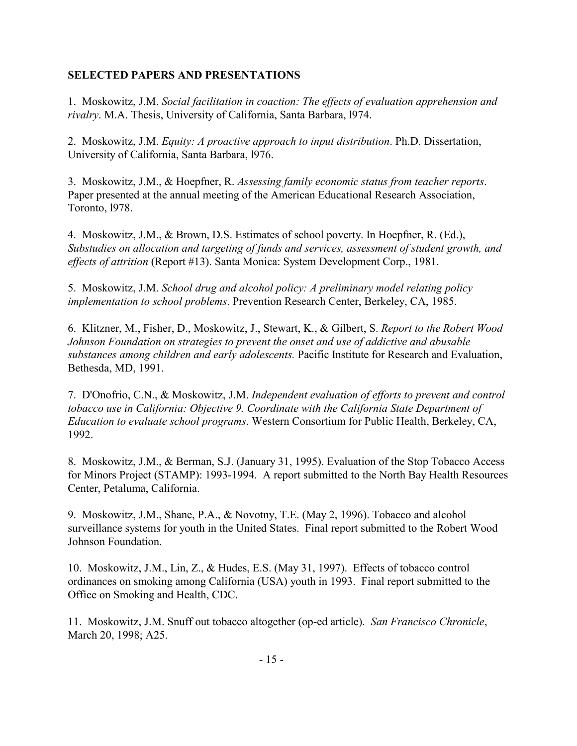# **SELECTED PAPERS AND PRESENTATIONS**

1. Moskowitz, J.M. *Social facilitation in coaction: The effects of evaluation apprehension and rivalry*. M.A. Thesis, University of California, Santa Barbara, l974.

2. Moskowitz, J.M. *Equity: A proactive approach to input distribution*. Ph.D. Dissertation, University of California, Santa Barbara, l976.

3. Moskowitz, J.M., & Hoepfner, R. *Assessing family economic status from teacher reports*. Paper presented at the annual meeting of the American Educational Research Association, Toronto, l978.

4. Moskowitz, J.M., & Brown, D.S. Estimates of school poverty. In Hoepfner, R. (Ed.), *Substudies on allocation and targeting of funds and services, assessment of student growth, and effects of attrition* (Report #13). Santa Monica: System Development Corp., 1981.

5. Moskowitz, J.M. *School drug and alcohol policy: A preliminary model relating policy implementation to school problems*. Prevention Research Center, Berkeley, CA, 1985.

6. Klitzner, M., Fisher, D., Moskowitz, J., Stewart, K., & Gilbert, S. *Report to the Robert Wood Johnson Foundation on strategies to prevent the onset and use of addictive and abusable substances among children and early adolescents.* Pacific Institute for Research and Evaluation, Bethesda, MD, 1991.

7. D'Onofrio, C.N., & Moskowitz, J.M. *Independent evaluation of efforts to prevent and control tobacco use in California: Objective 9. Coordinate with the California State Department of Education to evaluate school programs*. Western Consortium for Public Health, Berkeley, CA, 1992.

8. Moskowitz, J.M., & Berman, S.J. (January 31, 1995). Evaluation of the Stop Tobacco Access for Minors Project (STAMP): 1993-1994. A report submitted to the North Bay Health Resources Center, Petaluma, California.

9. Moskowitz, J.M., Shane, P.A., & Novotny, T.E. (May 2, 1996). Tobacco and alcohol surveillance systems for youth in the United States. Final report submitted to the Robert Wood Johnson Foundation.

10. Moskowitz, J.M., Lin, Z., & Hudes, E.S. (May 31, 1997). Effects of tobacco control ordinances on smoking among California (USA) youth in 1993. Final report submitted to the Office on Smoking and Health, CDC.

11. Moskowitz, J.M. Snuff out tobacco altogether (op-ed article). *San Francisco Chronicle*, March 20, 1998; A25.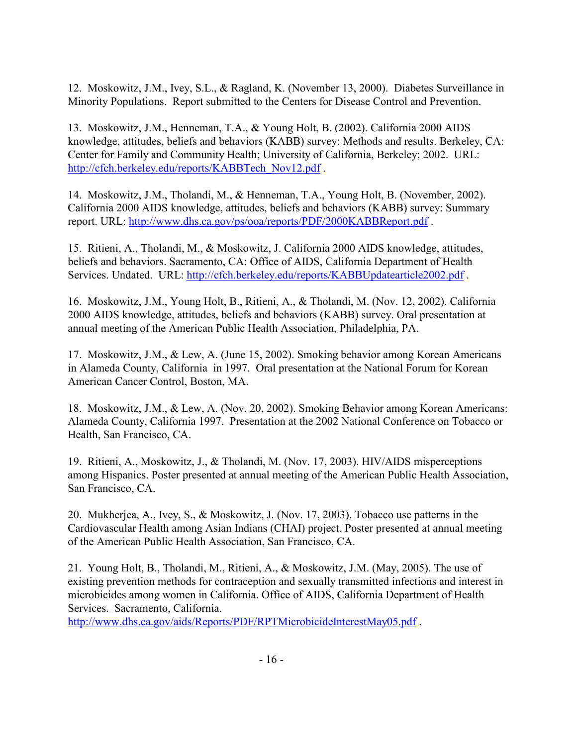12. Moskowitz, J.M., Ivey, S.L., & Ragland, K. (November 13, 2000). Diabetes Surveillance in Minority Populations. Report submitted to the Centers for Disease Control and Prevention.

13. Moskowitz, J.M., Henneman, T.A., & Young Holt, B. (2002). California 2000 AIDS knowledge, attitudes, beliefs and behaviors (KABB) survey: Methods and results. Berkeley, CA: Center for Family and Community Health; University of California, Berkeley; 2002. URL: [http://cfch.berkeley.edu/reports/KABBTech\\_Nov12.pdf](http://cfch.berkeley.edu/reports/KABBTech_Nov12.pdf) .

14. Moskowitz, J.M., Tholandi, M., & Henneman, T.A., Young Holt, B. (November, 2002). California 2000 AIDS knowledge, attitudes, beliefs and behaviors (KABB) survey: Summary report. URL:<http://www.dhs.ca.gov/ps/ooa/reports/PDF/2000KABBReport.pdf> .

15. Ritieni, A., Tholandi, M., & Moskowitz, J. California 2000 AIDS knowledge, attitudes, beliefs and behaviors. Sacramento, CA: Office of AIDS, California Department of Health Services. Undated. URL:<http://cfch.berkeley.edu/reports/KABBUpdatearticle2002.pdf> .

16. Moskowitz, J.M., Young Holt, B., Ritieni, A., & Tholandi, M. (Nov. 12, 2002). California 2000 AIDS knowledge, attitudes, beliefs and behaviors (KABB) survey. Oral presentation at annual meeting of the American Public Health Association, Philadelphia, PA.

17. Moskowitz, J.M., & Lew, A. (June 15, 2002). Smoking behavior among Korean Americans in Alameda County, California in 1997. Oral presentation at the National Forum for Korean American Cancer Control, Boston, MA.

18. Moskowitz, J.M., & Lew, A. (Nov. 20, 2002). Smoking Behavior among Korean Americans: Alameda County, California 1997. Presentation at the 2002 National Conference on Tobacco or Health, San Francisco, CA.

19. Ritieni, A., Moskowitz, J., & Tholandi, M. (Nov. 17, 2003). HIV/AIDS misperceptions among Hispanics. Poster presented at annual meeting of the American Public Health Association, San Francisco, CA.

20. Mukherjea, A., Ivey, S., & Moskowitz, J. (Nov. 17, 2003). Tobacco use patterns in the Cardiovascular Health among Asian Indians (CHAI) project. Poster presented at annual meeting of the American Public Health Association, San Francisco, CA.

21. Young Holt, B., Tholandi, M., Ritieni, A., & Moskowitz, J.M. (May, 2005). The use of existing prevention methods for contraception and sexually transmitted infections and interest in microbicides among women in California. Office of AIDS, California Department of Health Services. Sacramento, California.

<http://www.dhs.ca.gov/aids/Reports/PDF/RPTMicrobicideInterestMay05.pdf> .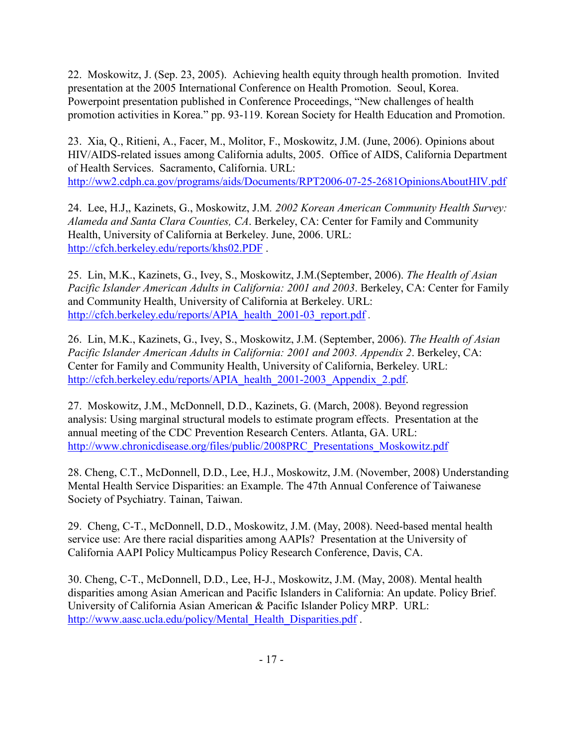22. Moskowitz, J. (Sep. 23, 2005). Achieving health equity through health promotion. Invited presentation at the 2005 International Conference on Health Promotion. Seoul, Korea. Powerpoint presentation published in Conference Proceedings, "New challenges of health promotion activities in Korea." pp. 93-119. Korean Society for Health Education and Promotion.

23. Xia, Q., Ritieni, A., Facer, M., Molitor, F., Moskowitz, J.M. (June, 2006). Opinions about HIV/AIDS-related issues among California adults, 2005. Office of AIDS, California Department of Health Services. Sacramento, California. URL: <http://ww2.cdph.ca.gov/programs/aids/Documents/RPT2006-07-25-2681OpinionsAboutHIV.pdf>

24. Lee, H.J,, Kazinets, G., Moskowitz, J.M*. 2002 Korean American Community Health Survey: Alameda and Santa Clara Counties, CA*. Berkeley, CA: Center for Family and Community Health, University of California at Berkeley. June, 2006. URL: <http://cfch.berkeley.edu/reports/khs02.PDF> .

25. Lin, M.K., Kazinets, G., Ivey, S., Moskowitz, J.M.(September, 2006). *The Health of Asian Pacific Islander American Adults in California: 2001 and 2003*. Berkeley, CA: Center for Family and Community Health, University of California at Berkeley. URL: [http://cfch.berkeley.edu/reports/APIA\\_health\\_2001-03\\_report.pdf](http://cfch.berkeley.edu/reports/APIA_health_2001-03_report.pdf) .

26. Lin, M.K., Kazinets, G., Ivey, S., Moskowitz, J.M. (September, 2006). *The Health of Asian Pacific Islander American Adults in California: 2001 and 2003. Appendix 2*. Berkeley, CA: Center for Family and Community Health, University of California, Berkeley. URL: [http://cfch.berkeley.edu/reports/APIA\\_health\\_2001-2003\\_Appendix\\_2.pdf.](http://cfch.berkeley.edu/reports/APIA_health_2001-2003_Appendix_2.pdf)

27. Moskowitz, J.M., McDonnell, D.D., Kazinets, G. (March, 2008). Beyond regression analysis: Using marginal structural models to estimate program effects. Presentation at the annual meeting of the CDC Prevention Research Centers. Atlanta, GA. URL: [http://www.chronicdisease.org/files/public/2008PRC\\_Presentations\\_Moskowitz.pdf](http://www.chronicdisease.org/files/public/2008PRC_Presentations_Moskowitz.pdf)

28. Cheng, C.T., McDonnell, D.D., Lee, H.J., Moskowitz, J.M. (November, 2008) Understanding Mental Health Service Disparities: an Example. The 47th Annual Conference of Taiwanese Society of Psychiatry. Tainan, Taiwan.

29. Cheng, C-T., McDonnell, D.D., Moskowitz, J.M. (May, 2008). Need-based mental health service use: Are there racial disparities among AAPIs? Presentation at the University of California AAPI Policy Multicampus Policy Research Conference, Davis, CA.

30. Cheng, C-T., McDonnell, D.D., Lee, H-J., Moskowitz, J.M. (May, 2008). Mental health disparities among Asian American and Pacific Islanders in California: An update. Policy Brief. University of California Asian American & Pacific Islander Policy MRP. URL: [http://www.aasc.ucla.edu/policy/Mental\\_Health\\_Disparities.pdf](http://www.aasc.ucla.edu/policy/Mental_Health_Disparities.pdf).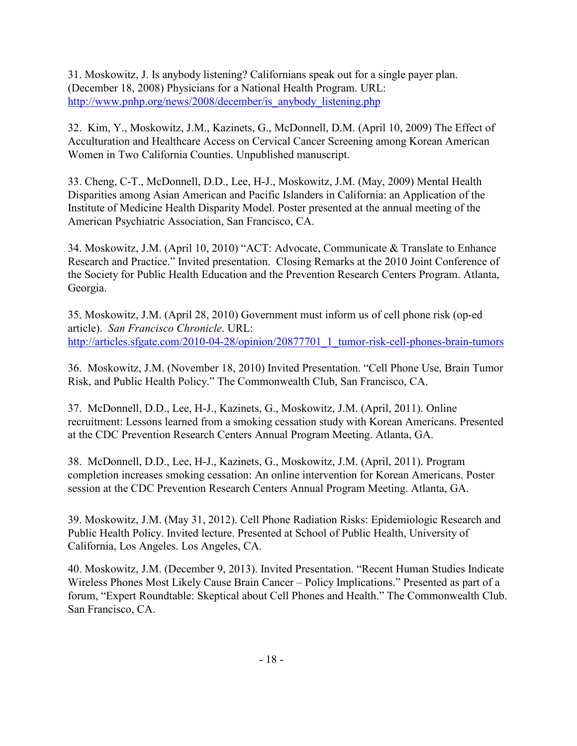31. Moskowitz, J. Is anybody listening? Californians speak out for a single payer plan. (December 18, 2008) Physicians for a National Health Program. URL: [http://www.pnhp.org/news/2008/december/is\\_anybody\\_listening.php](http://www.pnhp.org/news/2008/december/is_anybody_listening.php)

32. Kim, Y., Moskowitz, J.M., Kazinets, G., McDonnell, D.M. (April 10, 2009) The Effect of Acculturation and Healthcare Access on Cervical Cancer Screening among Korean American Women in Two California Counties. Unpublished manuscript.

33. Cheng, C-T., McDonnell, D.D., Lee, H-J., Moskowitz, J.M. (May, 2009) Mental Health Disparities among Asian American and Pacific Islanders in California: an Application of the Institute of Medicine Health Disparity Model. Poster presented at the annual meeting of the American Psychiatric Association, San Francisco, CA.

34. Moskowitz, J.M. (April 10, 2010) "ACT: Advocate, Communicate & Translate to Enhance Research and Practice." Invited presentation. Closing Remarks at the 2010 Joint Conference of the Society for Public Health Education and the Prevention Research Centers Program. Atlanta, Georgia.

35. Moskowitz, J.M. (April 28, 2010) Government must inform us of cell phone risk (op-ed article). *San Francisco Chronicle*. URL: [http://articles.sfgate.com/2010-04-28/opinion/20877701\\_1\\_tumor-risk-cell-phones-brain-tumors](http://articles.sfgate.com/2010-04-28/opinion/20877701_1_tumor-risk-cell-phones-brain-tumors)

36. Moskowitz, J.M. (November 18, 2010) Invited Presentation. "Cell Phone Use, Brain Tumor Risk, and Public Health Policy." The Commonwealth Club, San Francisco, CA.

37. McDonnell, D.D., Lee, H-J., Kazinets, G., Moskowitz, J.M. (April, 2011). Online recruitment: Lessons learned from a smoking cessation study with Korean Americans. Presented at the CDC Prevention Research Centers Annual Program Meeting. Atlanta, GA.

38. McDonnell, D.D., Lee, H-J., Kazinets, G., Moskowitz, J.M. (April, 2011). Program completion increases smoking cessation: An online intervention for Korean Americans. Poster session at the CDC Prevention Research Centers Annual Program Meeting. Atlanta, GA.

39. Moskowitz, J.M. (May 31, 2012). Cell Phone Radiation Risks: Epidemiologic Research and Public Health Policy. Invited lecture. Presented at School of Public Health, University of California, Los Angeles. Los Angeles, CA.

40. Moskowitz, J.M. (December 9, 2013). Invited Presentation. "Recent Human Studies Indicate Wireless Phones Most Likely Cause Brain Cancer – Policy Implications." Presented as part of a forum, "Expert Roundtable: Skeptical about Cell Phones and Health." The Commonwealth Club. San Francisco, CA.